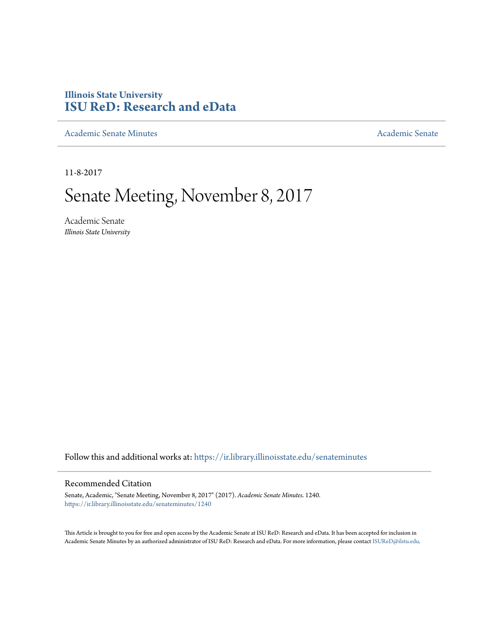# **Illinois State University [ISU ReD: Research and eData](https://ir.library.illinoisstate.edu?utm_source=ir.library.illinoisstate.edu%2Fsenateminutes%2F1240&utm_medium=PDF&utm_campaign=PDFCoverPages)**

[Academic Senate Minutes](https://ir.library.illinoisstate.edu/senateminutes?utm_source=ir.library.illinoisstate.edu%2Fsenateminutes%2F1240&utm_medium=PDF&utm_campaign=PDFCoverPages) [Academic Senate](https://ir.library.illinoisstate.edu/senate?utm_source=ir.library.illinoisstate.edu%2Fsenateminutes%2F1240&utm_medium=PDF&utm_campaign=PDFCoverPages) Academic Senate

11-8-2017

# Senate Meeting, November 8, 2017

Academic Senate *Illinois State University*

Follow this and additional works at: [https://ir.library.illinoisstate.edu/senateminutes](https://ir.library.illinoisstate.edu/senateminutes?utm_source=ir.library.illinoisstate.edu%2Fsenateminutes%2F1240&utm_medium=PDF&utm_campaign=PDFCoverPages)

#### Recommended Citation

Senate, Academic, "Senate Meeting, November 8, 2017" (2017). *Academic Senate Minutes*. 1240. [https://ir.library.illinoisstate.edu/senateminutes/1240](https://ir.library.illinoisstate.edu/senateminutes/1240?utm_source=ir.library.illinoisstate.edu%2Fsenateminutes%2F1240&utm_medium=PDF&utm_campaign=PDFCoverPages)

This Article is brought to you for free and open access by the Academic Senate at ISU ReD: Research and eData. It has been accepted for inclusion in Academic Senate Minutes by an authorized administrator of ISU ReD: Research and eData. For more information, please contact [ISUReD@ilstu.edu.](mailto:ISUReD@ilstu.edu)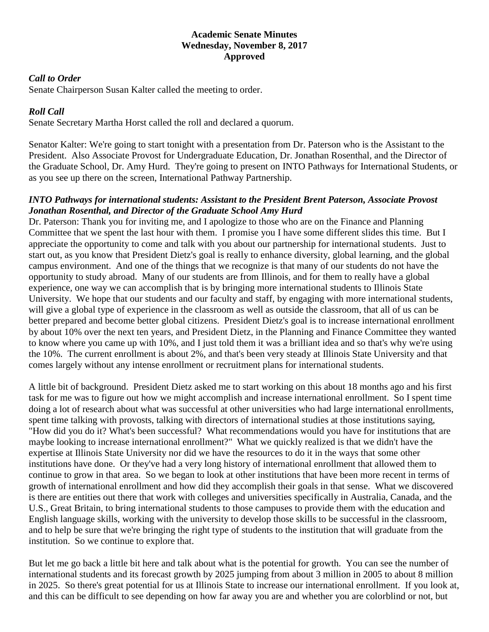#### **Academic Senate Minutes Wednesday, November 8, 2017 Approved**

#### *Call to Order*

Senate Chairperson Susan Kalter called the meeting to order.

# *Roll Call*

Senate Secretary Martha Horst called the roll and declared a quorum.

Senator Kalter: We're going to start tonight with a presentation from Dr. Paterson who is the Assistant to the President. Also Associate Provost for Undergraduate Education, Dr. Jonathan Rosenthal, and the Director of the Graduate School, Dr. Amy Hurd. They're going to present on INTO Pathways for International Students, or as you see up there on the screen, International Pathway Partnership.

#### *INTO Pathways for international students: Assistant to the President Brent Paterson, Associate Provost Jonathan Rosenthal, and Director of the Graduate School Amy Hurd*

Dr. Paterson: Thank you for inviting me, and I apologize to those who are on the Finance and Planning Committee that we spent the last hour with them. I promise you I have some different slides this time. But I appreciate the opportunity to come and talk with you about our partnership for international students. Just to start out, as you know that President Dietz's goal is really to enhance diversity, global learning, and the global campus environment. And one of the things that we recognize is that many of our students do not have the opportunity to study abroad. Many of our students are from Illinois, and for them to really have a global experience, one way we can accomplish that is by bringing more international students to Illinois State University. We hope that our students and our faculty and staff, by engaging with more international students, will give a global type of experience in the classroom as well as outside the classroom, that all of us can be better prepared and become better global citizens. President Dietz's goal is to increase international enrollment by about 10% over the next ten years, and President Dietz, in the Planning and Finance Committee they wanted to know where you came up with 10%, and I just told them it was a brilliant idea and so that's why we're using the 10%. The current enrollment is about 2%, and that's been very steady at Illinois State University and that comes largely without any intense enrollment or recruitment plans for international students.

A little bit of background. President Dietz asked me to start working on this about 18 months ago and his first task for me was to figure out how we might accomplish and increase international enrollment. So I spent time doing a lot of research about what was successful at other universities who had large international enrollments, spent time talking with provosts, talking with directors of international studies at those institutions saying, "How did you do it? What's been successful? What recommendations would you have for institutions that are maybe looking to increase international enrollment?" What we quickly realized is that we didn't have the expertise at Illinois State University nor did we have the resources to do it in the ways that some other institutions have done. Or they've had a very long history of international enrollment that allowed them to continue to grow in that area. So we began to look at other institutions that have been more recent in terms of growth of international enrollment and how did they accomplish their goals in that sense. What we discovered is there are entities out there that work with colleges and universities specifically in Australia, Canada, and the U.S., Great Britain, to bring international students to those campuses to provide them with the education and English language skills, working with the university to develop those skills to be successful in the classroom, and to help be sure that we're bringing the right type of students to the institution that will graduate from the institution. So we continue to explore that.

But let me go back a little bit here and talk about what is the potential for growth. You can see the number of international students and its forecast growth by 2025 jumping from about 3 million in 2005 to about 8 million in 2025. So there's great potential for us at Illinois State to increase our international enrollment. If you look at, and this can be difficult to see depending on how far away you are and whether you are colorblind or not, but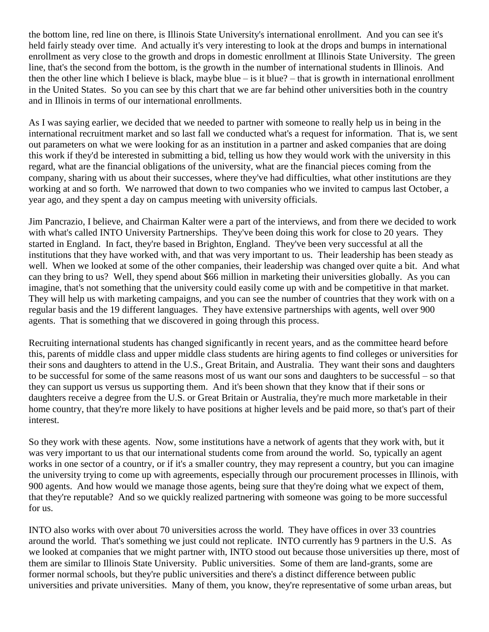the bottom line, red line on there, is Illinois State University's international enrollment. And you can see it's held fairly steady over time. And actually it's very interesting to look at the drops and bumps in international enrollment as very close to the growth and drops in domestic enrollment at Illinois State University. The green line, that's the second from the bottom, is the growth in the number of international students in Illinois. And then the other line which I believe is black, maybe blue – is it blue? – that is growth in international enrollment in the United States. So you can see by this chart that we are far behind other universities both in the country and in Illinois in terms of our international enrollments.

As I was saying earlier, we decided that we needed to partner with someone to really help us in being in the international recruitment market and so last fall we conducted what's a request for information. That is, we sent out parameters on what we were looking for as an institution in a partner and asked companies that are doing this work if they'd be interested in submitting a bid, telling us how they would work with the university in this regard, what are the financial obligations of the university, what are the financial pieces coming from the company, sharing with us about their successes, where they've had difficulties, what other institutions are they working at and so forth. We narrowed that down to two companies who we invited to campus last October, a year ago, and they spent a day on campus meeting with university officials.

Jim Pancrazio, I believe, and Chairman Kalter were a part of the interviews, and from there we decided to work with what's called INTO University Partnerships. They've been doing this work for close to 20 years. They started in England. In fact, they're based in Brighton, England. They've been very successful at all the institutions that they have worked with, and that was very important to us. Their leadership has been steady as well. When we looked at some of the other companies, their leadership was changed over quite a bit. And what can they bring to us? Well, they spend about \$66 million in marketing their universities globally. As you can imagine, that's not something that the university could easily come up with and be competitive in that market. They will help us with marketing campaigns, and you can see the number of countries that they work with on a regular basis and the 19 different languages. They have extensive partnerships with agents, well over 900 agents. That is something that we discovered in going through this process.

Recruiting international students has changed significantly in recent years, and as the committee heard before this, parents of middle class and upper middle class students are hiring agents to find colleges or universities for their sons and daughters to attend in the U.S., Great Britain, and Australia. They want their sons and daughters to be successful for some of the same reasons most of us want our sons and daughters to be successful – so that they can support us versus us supporting them. And it's been shown that they know that if their sons or daughters receive a degree from the U.S. or Great Britain or Australia, they're much more marketable in their home country, that they're more likely to have positions at higher levels and be paid more, so that's part of their interest.

So they work with these agents. Now, some institutions have a network of agents that they work with, but it was very important to us that our international students come from around the world. So, typically an agent works in one sector of a country, or if it's a smaller country, they may represent a country, but you can imagine the university trying to come up with agreements, especially through our procurement processes in Illinois, with 900 agents. And how would we manage those agents, being sure that they're doing what we expect of them, that they're reputable? And so we quickly realized partnering with someone was going to be more successful for us.

INTO also works with over about 70 universities across the world. They have offices in over 33 countries around the world. That's something we just could not replicate. INTO currently has 9 partners in the U.S. As we looked at companies that we might partner with, INTO stood out because those universities up there, most of them are similar to Illinois State University. Public universities. Some of them are land-grants, some are former normal schools, but they're public universities and there's a distinct difference between public universities and private universities. Many of them, you know, they're representative of some urban areas, but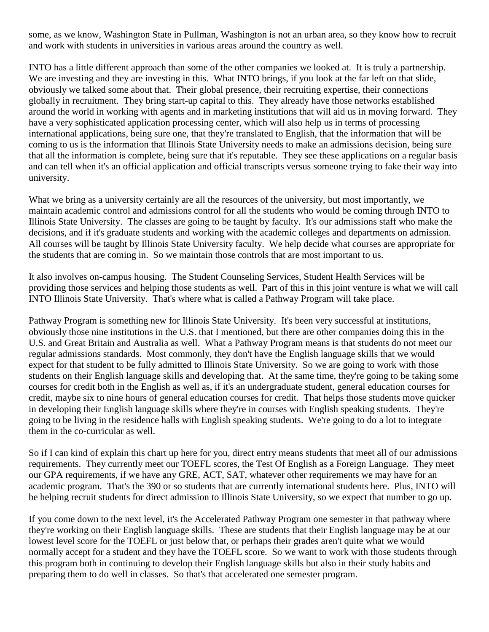some, as we know, Washington State in Pullman, Washington is not an urban area, so they know how to recruit and work with students in universities in various areas around the country as well.

INTO has a little different approach than some of the other companies we looked at. It is truly a partnership. We are investing and they are investing in this. What INTO brings, if you look at the far left on that slide, obviously we talked some about that. Their global presence, their recruiting expertise, their connections globally in recruitment. They bring start-up capital to this. They already have those networks established around the world in working with agents and in marketing institutions that will aid us in moving forward. They have a very sophisticated application processing center, which will also help us in terms of processing international applications, being sure one, that they're translated to English, that the information that will be coming to us is the information that Illinois State University needs to make an admissions decision, being sure that all the information is complete, being sure that it's reputable. They see these applications on a regular basis and can tell when it's an official application and official transcripts versus someone trying to fake their way into university.

What we bring as a university certainly are all the resources of the university, but most importantly, we maintain academic control and admissions control for all the students who would be coming through INTO to Illinois State University. The classes are going to be taught by faculty. It's our admissions staff who make the decisions, and if it's graduate students and working with the academic colleges and departments on admission. All courses will be taught by Illinois State University faculty. We help decide what courses are appropriate for the students that are coming in. So we maintain those controls that are most important to us.

It also involves on-campus housing. The Student Counseling Services, Student Health Services will be providing those services and helping those students as well. Part of this in this joint venture is what we will call INTO Illinois State University. That's where what is called a Pathway Program will take place.

Pathway Program is something new for Illinois State University. It's been very successful at institutions, obviously those nine institutions in the U.S. that I mentioned, but there are other companies doing this in the U.S. and Great Britain and Australia as well. What a Pathway Program means is that students do not meet our regular admissions standards. Most commonly, they don't have the English language skills that we would expect for that student to be fully admitted to Illinois State University. So we are going to work with those students on their English language skills and developing that. At the same time, they're going to be taking some courses for credit both in the English as well as, if it's an undergraduate student, general education courses for credit, maybe six to nine hours of general education courses for credit. That helps those students move quicker in developing their English language skills where they're in courses with English speaking students. They're going to be living in the residence halls with English speaking students. We're going to do a lot to integrate them in the co-curricular as well.

So if I can kind of explain this chart up here for you, direct entry means students that meet all of our admissions requirements. They currently meet our TOEFL scores, the Test Of English as a Foreign Language. They meet our GPA requirements, if we have any GRE, ACT, SAT, whatever other requirements we may have for an academic program. That's the 390 or so students that are currently international students here. Plus, INTO will be helping recruit students for direct admission to Illinois State University, so we expect that number to go up.

If you come down to the next level, it's the Accelerated Pathway Program one semester in that pathway where they're working on their English language skills. These are students that their English language may be at our lowest level score for the TOEFL or just below that, or perhaps their grades aren't quite what we would normally accept for a student and they have the TOEFL score. So we want to work with those students through this program both in continuing to develop their English language skills but also in their study habits and preparing them to do well in classes. So that's that accelerated one semester program.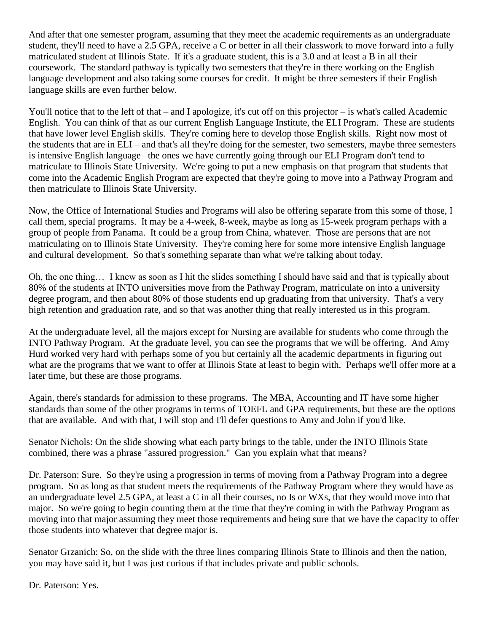And after that one semester program, assuming that they meet the academic requirements as an undergraduate student, they'll need to have a 2.5 GPA, receive a C or better in all their classwork to move forward into a fully matriculated student at Illinois State. If it's a graduate student, this is a 3.0 and at least a B in all their coursework. The standard pathway is typically two semesters that they're in there working on the English language development and also taking some courses for credit. It might be three semesters if their English language skills are even further below.

You'll notice that to the left of that – and I apologize, it's cut off on this projector – is what's called Academic English. You can think of that as our current English Language Institute, the ELI Program. These are students that have lower level English skills. They're coming here to develop those English skills. Right now most of the students that are in ELI – and that's all they're doing for the semester, two semesters, maybe three semesters is intensive English language –the ones we have currently going through our ELI Program don't tend to matriculate to Illinois State University. We're going to put a new emphasis on that program that students that come into the Academic English Program are expected that they're going to move into a Pathway Program and then matriculate to Illinois State University.

Now, the Office of International Studies and Programs will also be offering separate from this some of those, I call them, special programs. It may be a 4-week, 8-week, maybe as long as 15-week program perhaps with a group of people from Panama. It could be a group from China, whatever. Those are persons that are not matriculating on to Illinois State University. They're coming here for some more intensive English language and cultural development. So that's something separate than what we're talking about today.

Oh, the one thing… I knew as soon as I hit the slides something I should have said and that is typically about 80% of the students at INTO universities move from the Pathway Program, matriculate on into a university degree program, and then about 80% of those students end up graduating from that university. That's a very high retention and graduation rate, and so that was another thing that really interested us in this program.

At the undergraduate level, all the majors except for Nursing are available for students who come through the INTO Pathway Program. At the graduate level, you can see the programs that we will be offering. And Amy Hurd worked very hard with perhaps some of you but certainly all the academic departments in figuring out what are the programs that we want to offer at Illinois State at least to begin with. Perhaps we'll offer more at a later time, but these are those programs.

Again, there's standards for admission to these programs. The MBA, Accounting and IT have some higher standards than some of the other programs in terms of TOEFL and GPA requirements, but these are the options that are available. And with that, I will stop and I'll defer questions to Amy and John if you'd like.

Senator Nichols: On the slide showing what each party brings to the table, under the INTO Illinois State combined, there was a phrase "assured progression." Can you explain what that means?

Dr. Paterson: Sure. So they're using a progression in terms of moving from a Pathway Program into a degree program. So as long as that student meets the requirements of the Pathway Program where they would have as an undergraduate level 2.5 GPA, at least a C in all their courses, no Is or WXs, that they would move into that major. So we're going to begin counting them at the time that they're coming in with the Pathway Program as moving into that major assuming they meet those requirements and being sure that we have the capacity to offer those students into whatever that degree major is.

Senator Grzanich: So, on the slide with the three lines comparing Illinois State to Illinois and then the nation, you may have said it, but I was just curious if that includes private and public schools.

Dr. Paterson: Yes.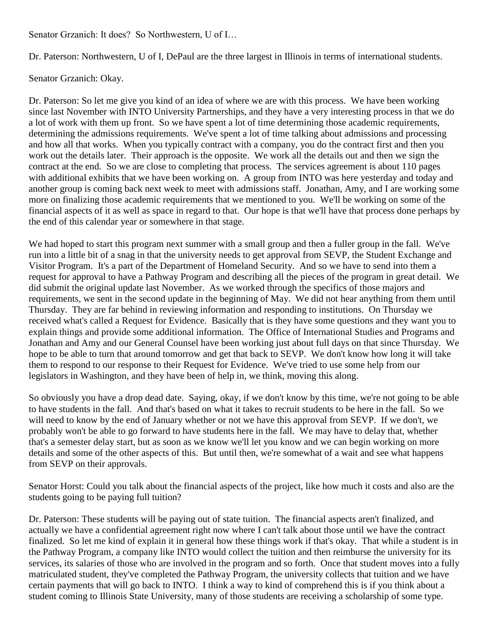Senator Grzanich: It does? So Northwestern, U of I…

Dr. Paterson: Northwestern, U of I, DePaul are the three largest in Illinois in terms of international students.

Senator Grzanich: Okay.

Dr. Paterson: So let me give you kind of an idea of where we are with this process. We have been working since last November with INTO University Partnerships, and they have a very interesting process in that we do a lot of work with them up front. So we have spent a lot of time determining those academic requirements, determining the admissions requirements. We've spent a lot of time talking about admissions and processing and how all that works. When you typically contract with a company, you do the contract first and then you work out the details later. Their approach is the opposite. We work all the details out and then we sign the contract at the end. So we are close to completing that process. The services agreement is about 110 pages with additional exhibits that we have been working on. A group from INTO was here yesterday and today and another group is coming back next week to meet with admissions staff. Jonathan, Amy, and I are working some more on finalizing those academic requirements that we mentioned to you. We'll be working on some of the financial aspects of it as well as space in regard to that. Our hope is that we'll have that process done perhaps by the end of this calendar year or somewhere in that stage.

We had hoped to start this program next summer with a small group and then a fuller group in the fall. We've run into a little bit of a snag in that the university needs to get approval from SEVP, the Student Exchange and Visitor Program. It's a part of the Department of Homeland Security. And so we have to send into them a request for approval to have a Pathway Program and describing all the pieces of the program in great detail. We did submit the original update last November. As we worked through the specifics of those majors and requirements, we sent in the second update in the beginning of May. We did not hear anything from them until Thursday. They are far behind in reviewing information and responding to institutions. On Thursday we received what's called a Request for Evidence. Basically that is they have some questions and they want you to explain things and provide some additional information. The Office of International Studies and Programs and Jonathan and Amy and our General Counsel have been working just about full days on that since Thursday. We hope to be able to turn that around tomorrow and get that back to SEVP. We don't know how long it will take them to respond to our response to their Request for Evidence. We've tried to use some help from our legislators in Washington, and they have been of help in, we think, moving this along.

So obviously you have a drop dead date. Saying, okay, if we don't know by this time, we're not going to be able to have students in the fall. And that's based on what it takes to recruit students to be here in the fall. So we will need to know by the end of January whether or not we have this approval from SEVP. If we don't, we probably won't be able to go forward to have students here in the fall. We may have to delay that, whether that's a semester delay start, but as soon as we know we'll let you know and we can begin working on more details and some of the other aspects of this. But until then, we're somewhat of a wait and see what happens from SEVP on their approvals.

Senator Horst: Could you talk about the financial aspects of the project, like how much it costs and also are the students going to be paying full tuition?

Dr. Paterson: These students will be paying out of state tuition. The financial aspects aren't finalized, and actually we have a confidential agreement right now where I can't talk about those until we have the contract finalized. So let me kind of explain it in general how these things work if that's okay. That while a student is in the Pathway Program, a company like INTO would collect the tuition and then reimburse the university for its services, its salaries of those who are involved in the program and so forth. Once that student moves into a fully matriculated student, they've completed the Pathway Program, the university collects that tuition and we have certain payments that will go back to INTO. I think a way to kind of comprehend this is if you think about a student coming to Illinois State University, many of those students are receiving a scholarship of some type.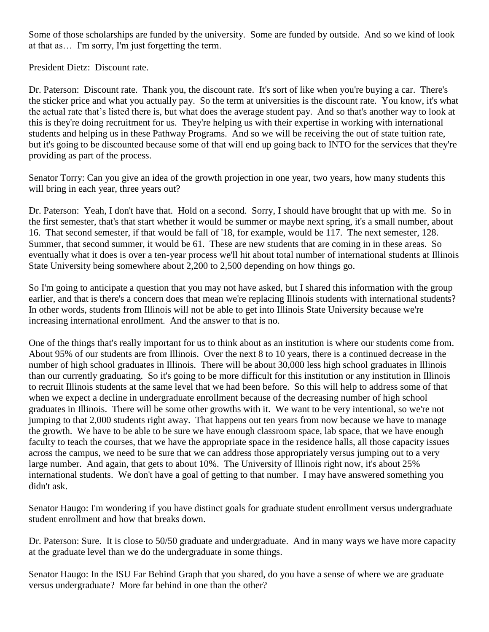Some of those scholarships are funded by the university. Some are funded by outside. And so we kind of look at that as… I'm sorry, I'm just forgetting the term.

President Dietz: Discount rate.

Dr. Paterson: Discount rate. Thank you, the discount rate. It's sort of like when you're buying a car. There's the sticker price and what you actually pay. So the term at universities is the discount rate. You know, it's what the actual rate that's listed there is, but what does the average student pay. And so that's another way to look at this is they're doing recruitment for us. They're helping us with their expertise in working with international students and helping us in these Pathway Programs. And so we will be receiving the out of state tuition rate, but it's going to be discounted because some of that will end up going back to INTO for the services that they're providing as part of the process.

Senator Torry: Can you give an idea of the growth projection in one year, two years, how many students this will bring in each year, three years out?

Dr. Paterson: Yeah, I don't have that. Hold on a second. Sorry, I should have brought that up with me. So in the first semester, that's that start whether it would be summer or maybe next spring, it's a small number, about 16. That second semester, if that would be fall of '18, for example, would be 117. The next semester, 128. Summer, that second summer, it would be 61. These are new students that are coming in in these areas. So eventually what it does is over a ten-year process we'll hit about total number of international students at Illinois State University being somewhere about 2,200 to 2,500 depending on how things go.

So I'm going to anticipate a question that you may not have asked, but I shared this information with the group earlier, and that is there's a concern does that mean we're replacing Illinois students with international students? In other words, students from Illinois will not be able to get into Illinois State University because we're increasing international enrollment. And the answer to that is no.

One of the things that's really important for us to think about as an institution is where our students come from. About 95% of our students are from Illinois. Over the next 8 to 10 years, there is a continued decrease in the number of high school graduates in Illinois. There will be about 30,000 less high school graduates in Illinois than our currently graduating. So it's going to be more difficult for this institution or any institution in Illinois to recruit Illinois students at the same level that we had been before. So this will help to address some of that when we expect a decline in undergraduate enrollment because of the decreasing number of high school graduates in Illinois. There will be some other growths with it. We want to be very intentional, so we're not jumping to that 2,000 students right away. That happens out ten years from now because we have to manage the growth. We have to be able to be sure we have enough classroom space, lab space, that we have enough faculty to teach the courses, that we have the appropriate space in the residence halls, all those capacity issues across the campus, we need to be sure that we can address those appropriately versus jumping out to a very large number. And again, that gets to about 10%. The University of Illinois right now, it's about 25% international students. We don't have a goal of getting to that number. I may have answered something you didn't ask.

Senator Haugo: I'm wondering if you have distinct goals for graduate student enrollment versus undergraduate student enrollment and how that breaks down.

Dr. Paterson: Sure. It is close to 50/50 graduate and undergraduate. And in many ways we have more capacity at the graduate level than we do the undergraduate in some things.

Senator Haugo: In the ISU Far Behind Graph that you shared, do you have a sense of where we are graduate versus undergraduate? More far behind in one than the other?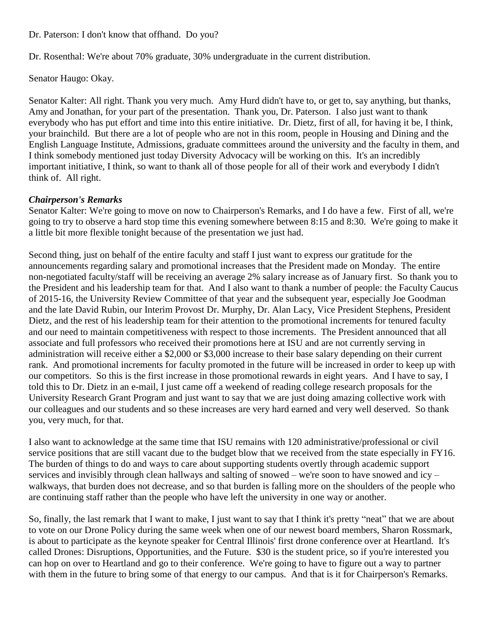Dr. Paterson: I don't know that offhand. Do you?

Dr. Rosenthal: We're about 70% graduate, 30% undergraduate in the current distribution.

Senator Haugo: Okay.

Senator Kalter: All right. Thank you very much. Amy Hurd didn't have to, or get to, say anything, but thanks, Amy and Jonathan, for your part of the presentation. Thank you, Dr. Paterson. I also just want to thank everybody who has put effort and time into this entire initiative. Dr. Dietz, first of all, for having it be, I think, your brainchild. But there are a lot of people who are not in this room, people in Housing and Dining and the English Language Institute, Admissions, graduate committees around the university and the faculty in them, and I think somebody mentioned just today Diversity Advocacy will be working on this. It's an incredibly important initiative, I think, so want to thank all of those people for all of their work and everybody I didn't think of. All right.

#### *Chairperson's Remarks*

Senator Kalter: We're going to move on now to Chairperson's Remarks, and I do have a few. First of all, we're going to try to observe a hard stop time this evening somewhere between 8:15 and 8:30. We're going to make it a little bit more flexible tonight because of the presentation we just had.

Second thing, just on behalf of the entire faculty and staff I just want to express our gratitude for the announcements regarding salary and promotional increases that the President made on Monday. The entire non-negotiated faculty/staff will be receiving an average 2% salary increase as of January first. So thank you to the President and his leadership team for that. And I also want to thank a number of people: the Faculty Caucus of 2015-16, the University Review Committee of that year and the subsequent year, especially Joe Goodman and the late David Rubin, our Interim Provost Dr. Murphy, Dr. Alan Lacy, Vice President Stephens, President Dietz, and the rest of his leadership team for their attention to the promotional increments for tenured faculty and our need to maintain competitiveness with respect to those increments. The President announced that all associate and full professors who received their promotions here at ISU and are not currently serving in administration will receive either a \$2,000 or \$3,000 increase to their base salary depending on their current rank. And promotional increments for faculty promoted in the future will be increased in order to keep up with our competitors. So this is the first increase in those promotional rewards in eight years. And I have to say, I told this to Dr. Dietz in an e-mail, I just came off a weekend of reading college research proposals for the University Research Grant Program and just want to say that we are just doing amazing collective work with our colleagues and our students and so these increases are very hard earned and very well deserved. So thank you, very much, for that.

I also want to acknowledge at the same time that ISU remains with 120 administrative/professional or civil service positions that are still vacant due to the budget blow that we received from the state especially in FY16. The burden of things to do and ways to care about supporting students overtly through academic support services and invisibly through clean hallways and salting of snowed – we're soon to have snowed and icy – walkways, that burden does not decrease, and so that burden is falling more on the shoulders of the people who are continuing staff rather than the people who have left the university in one way or another.

So, finally, the last remark that I want to make, I just want to say that I think it's pretty "neat" that we are about to vote on our Drone Policy during the same week when one of our newest board members, Sharon Rossmark, is about to participate as the keynote speaker for Central Illinois' first drone conference over at Heartland. It's called Drones: Disruptions, Opportunities, and the Future. \$30 is the student price, so if you're interested you can hop on over to Heartland and go to their conference. We're going to have to figure out a way to partner with them in the future to bring some of that energy to our campus. And that is it for Chairperson's Remarks.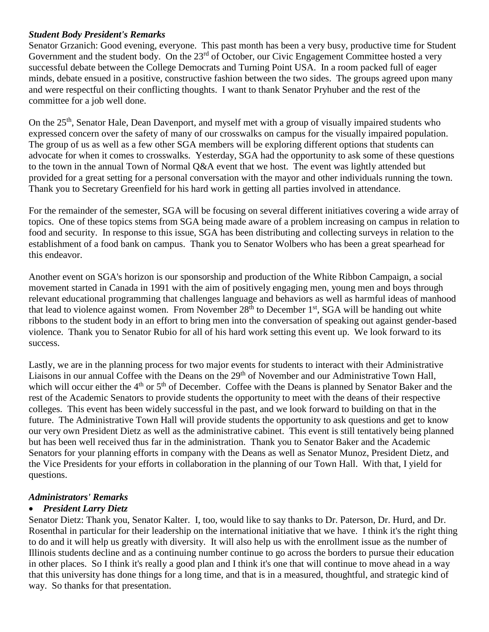# *Student Body President's Remarks*

Senator Grzanich: Good evening, everyone. This past month has been a very busy, productive time for Student Government and the student body. On the 23<sup>rd</sup> of October, our Civic Engagement Committee hosted a very successful debate between the College Democrats and Turning Point USA. In a room packed full of eager minds, debate ensued in a positive, constructive fashion between the two sides. The groups agreed upon many and were respectful on their conflicting thoughts. I want to thank Senator Pryhuber and the rest of the committee for a job well done.

On the 25<sup>th</sup>, Senator Hale, Dean Davenport, and myself met with a group of visually impaired students who expressed concern over the safety of many of our crosswalks on campus for the visually impaired population. The group of us as well as a few other SGA members will be exploring different options that students can advocate for when it comes to crosswalks. Yesterday, SGA had the opportunity to ask some of these questions to the town in the annual Town of Normal Q&A event that we host. The event was lightly attended but provided for a great setting for a personal conversation with the mayor and other individuals running the town. Thank you to Secretary Greenfield for his hard work in getting all parties involved in attendance.

For the remainder of the semester, SGA will be focusing on several different initiatives covering a wide array of topics. One of these topics stems from SGA being made aware of a problem increasing on campus in relation to food and security. In response to this issue, SGA has been distributing and collecting surveys in relation to the establishment of a food bank on campus. Thank you to Senator Wolbers who has been a great spearhead for this endeavor.

Another event on SGA's horizon is our sponsorship and production of the White Ribbon Campaign, a social movement started in Canada in 1991 with the aim of positively engaging men, young men and boys through relevant educational programming that challenges language and behaviors as well as harmful ideas of manhood that lead to violence against women. From November  $28<sup>th</sup>$  to December 1<sup>st</sup>, SGA will be handing out white ribbons to the student body in an effort to bring men into the conversation of speaking out against gender-based violence. Thank you to Senator Rubio for all of his hard work setting this event up. We look forward to its success.

Lastly, we are in the planning process for two major events for students to interact with their Administrative Liaisons in our annual Coffee with the Deans on the 29<sup>th</sup> of November and our Administrative Town Hall, which will occur either the  $4<sup>th</sup>$  or  $5<sup>th</sup>$  of December. Coffee with the Deans is planned by Senator Baker and the rest of the Academic Senators to provide students the opportunity to meet with the deans of their respective colleges. This event has been widely successful in the past, and we look forward to building on that in the future. The Administrative Town Hall will provide students the opportunity to ask questions and get to know our very own President Dietz as well as the administrative cabinet. This event is still tentatively being planned but has been well received thus far in the administration. Thank you to Senator Baker and the Academic Senators for your planning efforts in company with the Deans as well as Senator Munoz, President Dietz, and the Vice Presidents for your efforts in collaboration in the planning of our Town Hall. With that, I yield for questions.

# *Administrators' Remarks*

# • *President Larry Dietz*

Senator Dietz: Thank you, Senator Kalter. I, too, would like to say thanks to Dr. Paterson, Dr. Hurd, and Dr. Rosenthal in particular for their leadership on the international initiative that we have. I think it's the right thing to do and it will help us greatly with diversity. It will also help us with the enrollment issue as the number of Illinois students decline and as a continuing number continue to go across the borders to pursue their education in other places. So I think it's really a good plan and I think it's one that will continue to move ahead in a way that this university has done things for a long time, and that is in a measured, thoughtful, and strategic kind of way. So thanks for that presentation.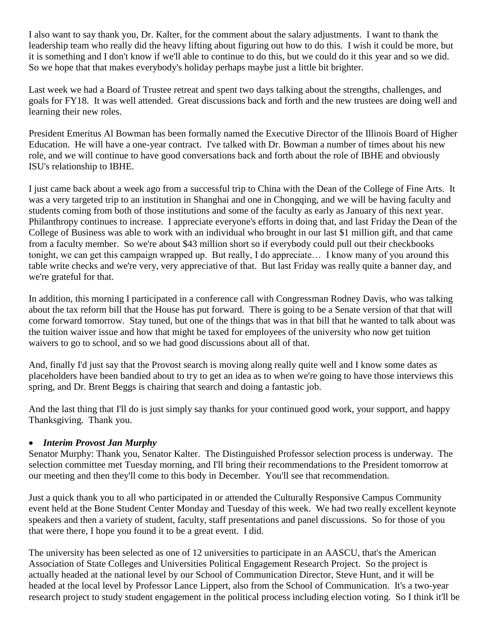I also want to say thank you, Dr. Kalter, for the comment about the salary adjustments. I want to thank the leadership team who really did the heavy lifting about figuring out how to do this. I wish it could be more, but it is something and I don't know if we'll able to continue to do this, but we could do it this year and so we did. So we hope that that makes everybody's holiday perhaps maybe just a little bit brighter.

Last week we had a Board of Trustee retreat and spent two days talking about the strengths, challenges, and goals for FY18. It was well attended. Great discussions back and forth and the new trustees are doing well and learning their new roles.

President Emeritus Al Bowman has been formally named the Executive Director of the Illinois Board of Higher Education. He will have a one-year contract. I've talked with Dr. Bowman a number of times about his new role, and we will continue to have good conversations back and forth about the role of IBHE and obviously ISU's relationship to IBHE.

I just came back about a week ago from a successful trip to China with the Dean of the College of Fine Arts. It was a very targeted trip to an institution in Shanghai and one in Chongqing, and we will be having faculty and students coming from both of those institutions and some of the faculty as early as January of this next year. Philanthropy continues to increase. I appreciate everyone's efforts in doing that, and last Friday the Dean of the College of Business was able to work with an individual who brought in our last \$1 million gift, and that came from a faculty member. So we're about \$43 million short so if everybody could pull out their checkbooks tonight, we can get this campaign wrapped up. But really, I do appreciate… I know many of you around this table write checks and we're very, very appreciative of that. But last Friday was really quite a banner day, and we're grateful for that.

In addition, this morning I participated in a conference call with Congressman Rodney Davis, who was talking about the tax reform bill that the House has put forward. There is going to be a Senate version of that that will come forward tomorrow. Stay tuned, but one of the things that was in that bill that he wanted to talk about was the tuition waiver issue and how that might be taxed for employees of the university who now get tuition waivers to go to school, and so we had good discussions about all of that.

And, finally I'd just say that the Provost search is moving along really quite well and I know some dates as placeholders have been bandied about to try to get an idea as to when we're going to have those interviews this spring, and Dr. Brent Beggs is chairing that search and doing a fantastic job.

And the last thing that I'll do is just simply say thanks for your continued good work, your support, and happy Thanksgiving. Thank you.

# • *Interim Provost Jan Murphy*

Senator Murphy: Thank you, Senator Kalter. The Distinguished Professor selection process is underway. The selection committee met Tuesday morning, and I'll bring their recommendations to the President tomorrow at our meeting and then they'll come to this body in December. You'll see that recommendation.

Just a quick thank you to all who participated in or attended the Culturally Responsive Campus Community event held at the Bone Student Center Monday and Tuesday of this week. We had two really excellent keynote speakers and then a variety of student, faculty, staff presentations and panel discussions. So for those of you that were there, I hope you found it to be a great event. I did.

The university has been selected as one of 12 universities to participate in an AASCU, that's the American Association of State Colleges and Universities Political Engagement Research Project. So the project is actually headed at the national level by our School of Communication Director, Steve Hunt, and it will be headed at the local level by Professor Lance Lippert, also from the School of Communication. It's a two-year research project to study student engagement in the political process including election voting. So I think it'll be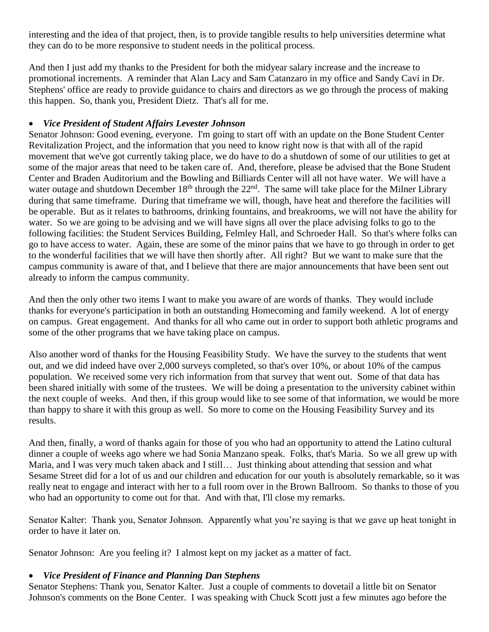interesting and the idea of that project, then, is to provide tangible results to help universities determine what they can do to be more responsive to student needs in the political process.

And then I just add my thanks to the President for both the midyear salary increase and the increase to promotional increments. A reminder that Alan Lacy and Sam Catanzaro in my office and Sandy Cavi in Dr. Stephens' office are ready to provide guidance to chairs and directors as we go through the process of making this happen. So, thank you, President Dietz. That's all for me.

# • *Vice President of Student Affairs Levester Johnson*

Senator Johnson: Good evening, everyone. I'm going to start off with an update on the Bone Student Center Revitalization Project, and the information that you need to know right now is that with all of the rapid movement that we've got currently taking place, we do have to do a shutdown of some of our utilities to get at some of the major areas that need to be taken care of. And, therefore, please be advised that the Bone Student Center and Braden Auditorium and the Bowling and Billiards Center will all not have water. We will have a water outage and shutdown December  $18<sup>th</sup>$  through the  $22<sup>nd</sup>$ . The same will take place for the Milner Library during that same timeframe. During that timeframe we will, though, have heat and therefore the facilities will be operable. But as it relates to bathrooms, drinking fountains, and breakrooms, we will not have the ability for water. So we are going to be advising and we will have signs all over the place advising folks to go to the following facilities: the Student Services Building, Felmley Hall, and Schroeder Hall. So that's where folks can go to have access to water. Again, these are some of the minor pains that we have to go through in order to get to the wonderful facilities that we will have then shortly after. All right? But we want to make sure that the campus community is aware of that, and I believe that there are major announcements that have been sent out already to inform the campus community.

And then the only other two items I want to make you aware of are words of thanks. They would include thanks for everyone's participation in both an outstanding Homecoming and family weekend. A lot of energy on campus. Great engagement. And thanks for all who came out in order to support both athletic programs and some of the other programs that we have taking place on campus.

Also another word of thanks for the Housing Feasibility Study. We have the survey to the students that went out, and we did indeed have over 2,000 surveys completed, so that's over 10%, or about 10% of the campus population. We received some very rich information from that survey that went out. Some of that data has been shared initially with some of the trustees. We will be doing a presentation to the university cabinet within the next couple of weeks. And then, if this group would like to see some of that information, we would be more than happy to share it with this group as well. So more to come on the Housing Feasibility Survey and its results.

And then, finally, a word of thanks again for those of you who had an opportunity to attend the Latino cultural dinner a couple of weeks ago where we had Sonia Manzano speak. Folks, that's Maria. So we all grew up with Maria, and I was very much taken aback and I still… Just thinking about attending that session and what Sesame Street did for a lot of us and our children and education for our youth is absolutely remarkable, so it was really neat to engage and interact with her to a full room over in the Brown Ballroom. So thanks to those of you who had an opportunity to come out for that. And with that, I'll close my remarks.

Senator Kalter: Thank you, Senator Johnson. Apparently what you're saying is that we gave up heat tonight in order to have it later on.

Senator Johnson: Are you feeling it? I almost kept on my jacket as a matter of fact.

# • *Vice President of Finance and Planning Dan Stephens*

Senator Stephens: Thank you, Senator Kalter. Just a couple of comments to dovetail a little bit on Senator Johnson's comments on the Bone Center. I was speaking with Chuck Scott just a few minutes ago before the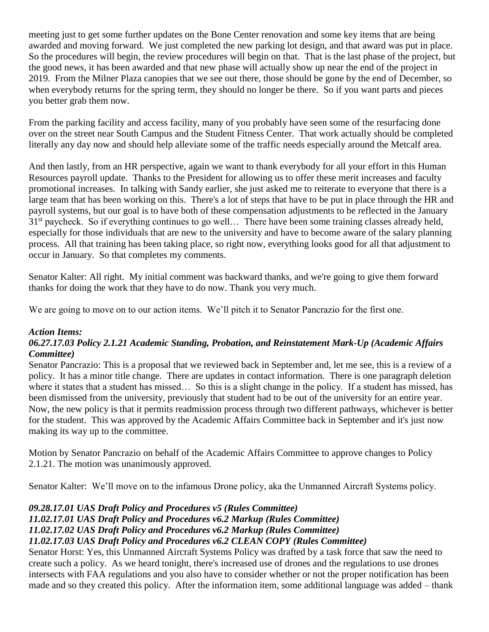meeting just to get some further updates on the Bone Center renovation and some key items that are being awarded and moving forward. We just completed the new parking lot design, and that award was put in place. So the procedures will begin, the review procedures will begin on that. That is the last phase of the project, but the good news, it has been awarded and that new phase will actually show up near the end of the project in 2019. From the Milner Plaza canopies that we see out there, those should be gone by the end of December, so when everybody returns for the spring term, they should no longer be there. So if you want parts and pieces you better grab them now.

From the parking facility and access facility, many of you probably have seen some of the resurfacing done over on the street near South Campus and the Student Fitness Center. That work actually should be completed literally any day now and should help alleviate some of the traffic needs especially around the Metcalf area.

And then lastly, from an HR perspective, again we want to thank everybody for all your effort in this Human Resources payroll update. Thanks to the President for allowing us to offer these merit increases and faculty promotional increases. In talking with Sandy earlier, she just asked me to reiterate to everyone that there is a large team that has been working on this. There's a lot of steps that have to be put in place through the HR and payroll systems, but our goal is to have both of these compensation adjustments to be reflected in the January 31st paycheck. So if everything continues to go well… There have been some training classes already held, especially for those individuals that are new to the university and have to become aware of the salary planning process. All that training has been taking place, so right now, everything looks good for all that adjustment to occur in January. So that completes my comments.

Senator Kalter: All right. My initial comment was backward thanks, and we're going to give them forward thanks for doing the work that they have to do now. Thank you very much.

We are going to move on to our action items. We'll pitch it to Senator Pancrazio for the first one.

#### *Action Items:*

# *06.27.17.03 Policy 2.1.21 Academic Standing, Probation, and Reinstatement Mark-Up (Academic Affairs Committee)*

Senator Pancrazio: This is a proposal that we reviewed back in September and, let me see, this is a review of a policy. It has a minor title change. There are updates in contact information. There is one paragraph deletion where it states that a student has missed... So this is a slight change in the policy. If a student has missed, has been dismissed from the university, previously that student had to be out of the university for an entire year. Now, the new policy is that it permits readmission process through two different pathways, whichever is better for the student. This was approved by the Academic Affairs Committee back in September and it's just now making its way up to the committee.

Motion by Senator Pancrazio on behalf of the Academic Affairs Committee to approve changes to Policy 2.1.21. The motion was unanimously approved.

Senator Kalter: We'll move on to the infamous Drone policy, aka the Unmanned Aircraft Systems policy.

# *09.28.17.01 UAS Draft Policy and Procedures v5 (Rules Committee)*

*11.02.17.01 UAS Draft Policy and Procedures v6.2 Markup (Rules Committee)*

# *11.02.17.02 UAS Draft Policy and Procedures v6.2 Markup (Rules Committee)*

# *11.02.17.03 UAS Draft Policy and Procedures v6.2 CLEAN COPY (Rules Committee)*

Senator Horst: Yes, this Unmanned Aircraft Systems Policy was drafted by a task force that saw the need to create such a policy. As we heard tonight, there's increased use of drones and the regulations to use drones intersects with FAA regulations and you also have to consider whether or not the proper notification has been made and so they created this policy. After the information item, some additional language was added – thank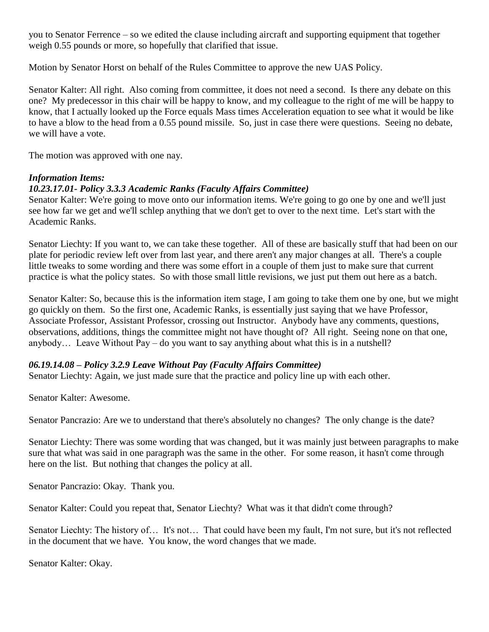you to Senator Ferrence – so we edited the clause including aircraft and supporting equipment that together weigh 0.55 pounds or more, so hopefully that clarified that issue.

Motion by Senator Horst on behalf of the Rules Committee to approve the new UAS Policy.

Senator Kalter: All right. Also coming from committee, it does not need a second. Is there any debate on this one? My predecessor in this chair will be happy to know, and my colleague to the right of me will be happy to know, that I actually looked up the Force equals Mass times Acceleration equation to see what it would be like to have a blow to the head from a 0.55 pound missile. So, just in case there were questions. Seeing no debate, we will have a vote.

The motion was approved with one nay.

#### *Information Items:*

# *10.23.17.01- Policy 3.3.3 Academic Ranks (Faculty Affairs Committee)*

Senator Kalter: We're going to move onto our information items. We're going to go one by one and we'll just see how far we get and we'll schlep anything that we don't get to over to the next time. Let's start with the Academic Ranks.

Senator Liechty: If you want to, we can take these together. All of these are basically stuff that had been on our plate for periodic review left over from last year, and there aren't any major changes at all. There's a couple little tweaks to some wording and there was some effort in a couple of them just to make sure that current practice is what the policy states. So with those small little revisions, we just put them out here as a batch.

Senator Kalter: So, because this is the information item stage, I am going to take them one by one, but we might go quickly on them. So the first one, Academic Ranks, is essentially just saying that we have Professor, Associate Professor, Assistant Professor, crossing out Instructor. Anybody have any comments, questions, observations, additions, things the committee might not have thought of? All right. Seeing none on that one, anybody… Leave Without Pay – do you want to say anything about what this is in a nutshell?

#### *06.19.14.08 – Policy 3.2.9 Leave Without Pay (Faculty Affairs Committee)*

Senator Liechty: Again, we just made sure that the practice and policy line up with each other.

Senator Kalter: Awesome.

Senator Pancrazio: Are we to understand that there's absolutely no changes? The only change is the date?

Senator Liechty: There was some wording that was changed, but it was mainly just between paragraphs to make sure that what was said in one paragraph was the same in the other. For some reason, it hasn't come through here on the list. But nothing that changes the policy at all.

Senator Pancrazio: Okay. Thank you.

Senator Kalter: Could you repeat that, Senator Liechty? What was it that didn't come through?

Senator Liechty: The history of… It's not… That could have been my fault, I'm not sure, but it's not reflected in the document that we have. You know, the word changes that we made.

Senator Kalter: Okay.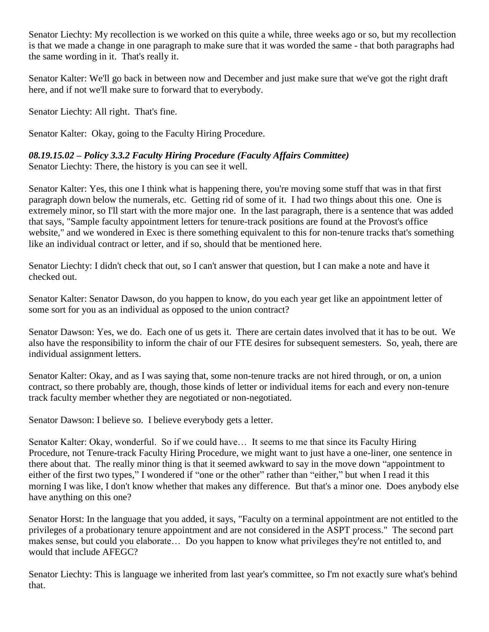Senator Liechty: My recollection is we worked on this quite a while, three weeks ago or so, but my recollection is that we made a change in one paragraph to make sure that it was worded the same - that both paragraphs had the same wording in it. That's really it.

Senator Kalter: We'll go back in between now and December and just make sure that we've got the right draft here, and if not we'll make sure to forward that to everybody.

Senator Liechty: All right. That's fine.

Senator Kalter: Okay, going to the Faculty Hiring Procedure.

# *08.19.15.02 – Policy 3.3.2 Faculty Hiring Procedure (Faculty Affairs Committee)*

Senator Liechty: There, the history is you can see it well.

Senator Kalter: Yes, this one I think what is happening there, you're moving some stuff that was in that first paragraph down below the numerals, etc. Getting rid of some of it. I had two things about this one. One is extremely minor, so I'll start with the more major one. In the last paragraph, there is a sentence that was added that says, "Sample faculty appointment letters for tenure-track positions are found at the Provost's office website," and we wondered in Exec is there something equivalent to this for non-tenure tracks that's something like an individual contract or letter, and if so, should that be mentioned here.

Senator Liechty: I didn't check that out, so I can't answer that question, but I can make a note and have it checked out.

Senator Kalter: Senator Dawson, do you happen to know, do you each year get like an appointment letter of some sort for you as an individual as opposed to the union contract?

Senator Dawson: Yes, we do. Each one of us gets it. There are certain dates involved that it has to be out. We also have the responsibility to inform the chair of our FTE desires for subsequent semesters. So, yeah, there are individual assignment letters.

Senator Kalter: Okay, and as I was saying that, some non-tenure tracks are not hired through, or on, a union contract, so there probably are, though, those kinds of letter or individual items for each and every non-tenure track faculty member whether they are negotiated or non-negotiated.

Senator Dawson: I believe so. I believe everybody gets a letter.

Senator Kalter: Okay, wonderful. So if we could have… It seems to me that since its Faculty Hiring Procedure, not Tenure-track Faculty Hiring Procedure, we might want to just have a one-liner, one sentence in there about that. The really minor thing is that it seemed awkward to say in the move down "appointment to either of the first two types," I wondered if "one or the other" rather than "either," but when I read it this morning I was like, I don't know whether that makes any difference. But that's a minor one. Does anybody else have anything on this one?

Senator Horst: In the language that you added, it says, "Faculty on a terminal appointment are not entitled to the privileges of a probationary tenure appointment and are not considered in the ASPT process." The second part makes sense, but could you elaborate… Do you happen to know what privileges they're not entitled to, and would that include AFEGC?

Senator Liechty: This is language we inherited from last year's committee, so I'm not exactly sure what's behind that.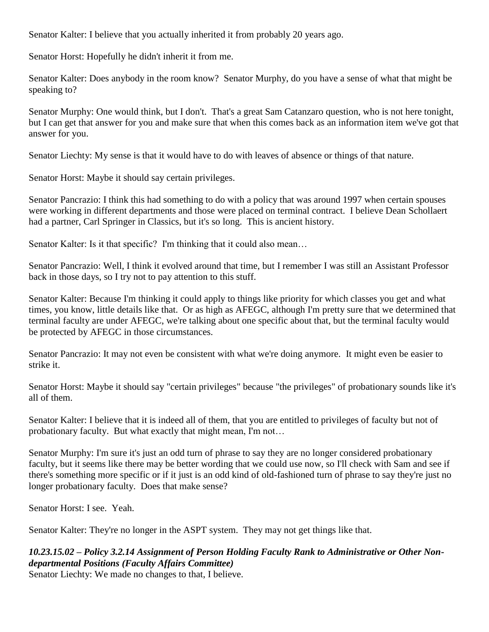Senator Kalter: I believe that you actually inherited it from probably 20 years ago.

Senator Horst: Hopefully he didn't inherit it from me.

Senator Kalter: Does anybody in the room know? Senator Murphy, do you have a sense of what that might be speaking to?

Senator Murphy: One would think, but I don't. That's a great Sam Catanzaro question, who is not here tonight, but I can get that answer for you and make sure that when this comes back as an information item we've got that answer for you.

Senator Liechty: My sense is that it would have to do with leaves of absence or things of that nature.

Senator Horst: Maybe it should say certain privileges.

Senator Pancrazio: I think this had something to do with a policy that was around 1997 when certain spouses were working in different departments and those were placed on terminal contract. I believe Dean Schollaert had a partner, Carl Springer in Classics, but it's so long. This is ancient history.

Senator Kalter: Is it that specific? I'm thinking that it could also mean…

Senator Pancrazio: Well, I think it evolved around that time, but I remember I was still an Assistant Professor back in those days, so I try not to pay attention to this stuff.

Senator Kalter: Because I'm thinking it could apply to things like priority for which classes you get and what times, you know, little details like that. Or as high as AFEGC, although I'm pretty sure that we determined that terminal faculty are under AFEGC, we're talking about one specific about that, but the terminal faculty would be protected by AFEGC in those circumstances.

Senator Pancrazio: It may not even be consistent with what we're doing anymore. It might even be easier to strike it.

Senator Horst: Maybe it should say "certain privileges" because "the privileges" of probationary sounds like it's all of them.

Senator Kalter: I believe that it is indeed all of them, that you are entitled to privileges of faculty but not of probationary faculty. But what exactly that might mean, I'm not…

Senator Murphy: I'm sure it's just an odd turn of phrase to say they are no longer considered probationary faculty, but it seems like there may be better wording that we could use now, so I'll check with Sam and see if there's something more specific or if it just is an odd kind of old-fashioned turn of phrase to say they're just no longer probationary faculty. Does that make sense?

Senator Horst: I see. Yeah.

Senator Kalter: They're no longer in the ASPT system. They may not get things like that.

*10.23.15.02 – Policy 3.2.14 Assignment of Person Holding Faculty Rank to Administrative or Other Nondepartmental Positions (Faculty Affairs Committee)* Senator Liechty: We made no changes to that, I believe.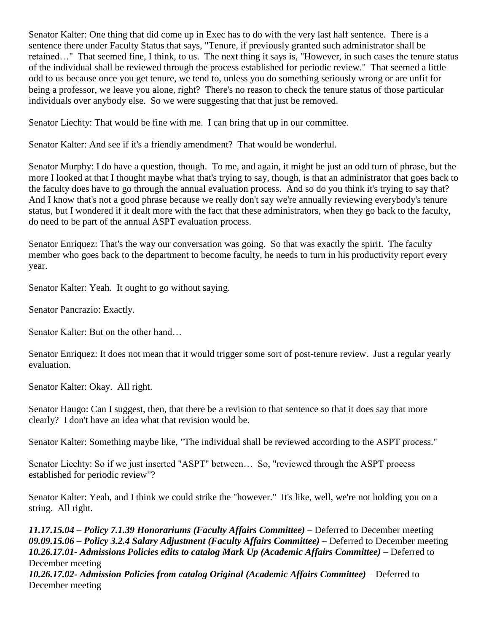Senator Kalter: One thing that did come up in Exec has to do with the very last half sentence. There is a sentence there under Faculty Status that says, "Tenure, if previously granted such administrator shall be retained…" That seemed fine, I think, to us. The next thing it says is, "However, in such cases the tenure status of the individual shall be reviewed through the process established for periodic review." That seemed a little odd to us because once you get tenure, we tend to, unless you do something seriously wrong or are unfit for being a professor, we leave you alone, right? There's no reason to check the tenure status of those particular individuals over anybody else. So we were suggesting that that just be removed.

Senator Liechty: That would be fine with me. I can bring that up in our committee.

Senator Kalter: And see if it's a friendly amendment? That would be wonderful.

Senator Murphy: I do have a question, though. To me, and again, it might be just an odd turn of phrase, but the more I looked at that I thought maybe what that's trying to say, though, is that an administrator that goes back to the faculty does have to go through the annual evaluation process. And so do you think it's trying to say that? And I know that's not a good phrase because we really don't say we're annually reviewing everybody's tenure status, but I wondered if it dealt more with the fact that these administrators, when they go back to the faculty, do need to be part of the annual ASPT evaluation process.

Senator Enriquez: That's the way our conversation was going. So that was exactly the spirit. The faculty member who goes back to the department to become faculty, he needs to turn in his productivity report every year.

Senator Kalter: Yeah. It ought to go without saying.

Senator Pancrazio: Exactly.

Senator Kalter: But on the other hand…

Senator Enriquez: It does not mean that it would trigger some sort of post-tenure review. Just a regular yearly evaluation.

Senator Kalter: Okay. All right.

Senator Haugo: Can I suggest, then, that there be a revision to that sentence so that it does say that more clearly? I don't have an idea what that revision would be.

Senator Kalter: Something maybe like, "The individual shall be reviewed according to the ASPT process."

Senator Liechty: So if we just inserted "ASPT" between… So, "reviewed through the ASPT process established for periodic review"?

Senator Kalter: Yeah, and I think we could strike the "however." It's like, well, we're not holding you on a string. All right.

*11.17.15.04 – Policy 7.1.39 Honorariums (Faculty Affairs Committee)* – Deferred to December meeting *09.09.15.06 – Policy 3.2.4 Salary Adjustment (Faculty Affairs Committee)* – Deferred to December meeting *10.26.17.01- Admissions Policies edits to catalog Mark Up (Academic Affairs Committee)* – Deferred to December meeting

*10.26.17.02- Admission Policies from catalog Original (Academic Affairs Committee)* – Deferred to December meeting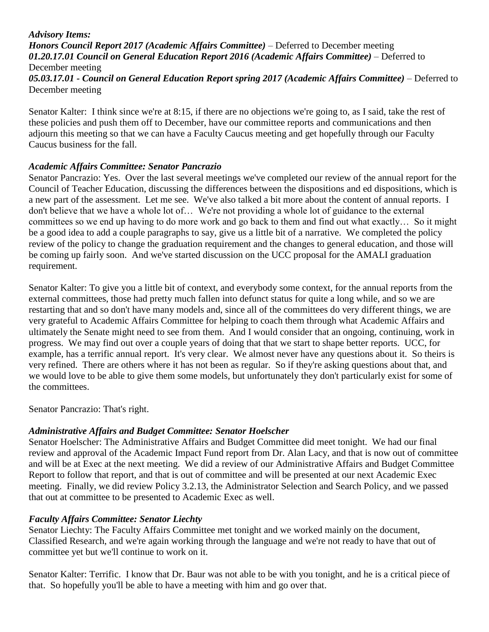#### *Advisory Items: Honors Council Report 2017 (Academic Affairs Committee)* – Deferred to December meeting *01.20.17.01 Council on General Education Report 2016 (Academic Affairs Committee)* – Deferred to December meeting *05.03.17.01 - Council on General Education Report spring 2017 (Academic Affairs Committee)* – Deferred to December meeting

Senator Kalter: I think since we're at 8:15, if there are no objections we're going to, as I said, take the rest of these policies and push them off to December, have our committee reports and communications and then adjourn this meeting so that we can have a Faculty Caucus meeting and get hopefully through our Faculty Caucus business for the fall.

# *Academic Affairs Committee: Senator Pancrazio*

Senator Pancrazio: Yes. Over the last several meetings we've completed our review of the annual report for the Council of Teacher Education, discussing the differences between the dispositions and ed dispositions, which is a new part of the assessment. Let me see. We've also talked a bit more about the content of annual reports. I don't believe that we have a whole lot of… We're not providing a whole lot of guidance to the external committees so we end up having to do more work and go back to them and find out what exactly… So it might be a good idea to add a couple paragraphs to say, give us a little bit of a narrative. We completed the policy review of the policy to change the graduation requirement and the changes to general education, and those will be coming up fairly soon. And we've started discussion on the UCC proposal for the AMALI graduation requirement.

Senator Kalter: To give you a little bit of context, and everybody some context, for the annual reports from the external committees, those had pretty much fallen into defunct status for quite a long while, and so we are restarting that and so don't have many models and, since all of the committees do very different things, we are very grateful to Academic Affairs Committee for helping to coach them through what Academic Affairs and ultimately the Senate might need to see from them. And I would consider that an ongoing, continuing, work in progress. We may find out over a couple years of doing that that we start to shape better reports. UCC, for example, has a terrific annual report. It's very clear. We almost never have any questions about it. So theirs is very refined. There are others where it has not been as regular. So if they're asking questions about that, and we would love to be able to give them some models, but unfortunately they don't particularly exist for some of the committees.

Senator Pancrazio: That's right.

# *Administrative Affairs and Budget Committee: Senator Hoelscher*

Senator Hoelscher: The Administrative Affairs and Budget Committee did meet tonight. We had our final review and approval of the Academic Impact Fund report from Dr. Alan Lacy, and that is now out of committee and will be at Exec at the next meeting. We did a review of our Administrative Affairs and Budget Committee Report to follow that report, and that is out of committee and will be presented at our next Academic Exec meeting. Finally, we did review Policy 3.2.13, the Administrator Selection and Search Policy, and we passed that out at committee to be presented to Academic Exec as well.

# *Faculty Affairs Committee: Senator Liechty*

Senator Liechty: The Faculty Affairs Committee met tonight and we worked mainly on the document, Classified Research, and we're again working through the language and we're not ready to have that out of committee yet but we'll continue to work on it.

Senator Kalter: Terrific. I know that Dr. Baur was not able to be with you tonight, and he is a critical piece of that. So hopefully you'll be able to have a meeting with him and go over that.